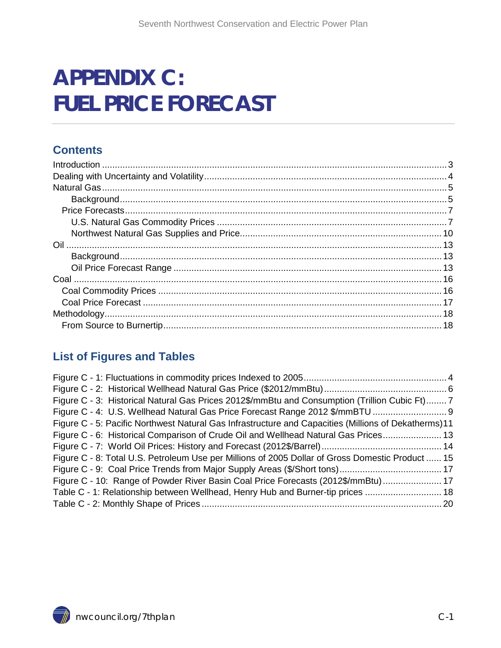# **APPENDIX C: FUEL PRICE FORECAST**

#### **Contents**

#### **List of Figures and Tables**

<span id="page-0-0"></span>

| Figure C - 3: Historical Natural Gas Prices 2012\$/mmBtu and Consumption (Trillion Cubic Ft)7        |  |
|------------------------------------------------------------------------------------------------------|--|
|                                                                                                      |  |
| Figure C - 5: Pacific Northwest Natural Gas Infrastructure and Capacities (Millions of Dekatherms)11 |  |
| Figure C - 6: Historical Comparison of Crude Oil and Wellhead Natural Gas Prices 13                  |  |
|                                                                                                      |  |
| Figure C - 8: Total U.S. Petroleum Use per Millions of 2005 Dollar of Gross Domestic Product  15     |  |
|                                                                                                      |  |
| Figure C - 10: Range of Powder River Basin Coal Price Forecasts (2012\$/mmBtu) 17                    |  |
| Table C - 1: Relationship between Wellhead, Henry Hub and Burner-tip prices  18                      |  |
|                                                                                                      |  |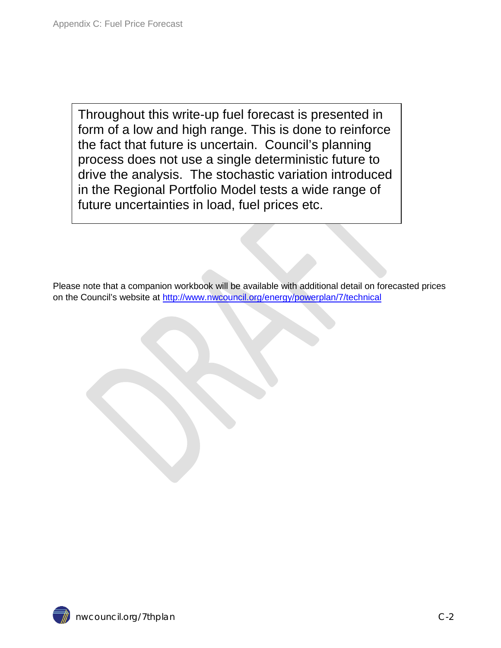Throughout this write-up fuel forecast is presented in form of a low and high range. This is done to reinforce the fact that future is uncertain. Council's planning process does not use a single deterministic future to drive the analysis. The stochastic variation introduced in the Regional Portfolio Model tests a wide range of future uncertainties in load, fuel prices etc.

Please note that a companion workbook will be available with additional detail on forecasted prices on the Council's website at <http://www.nwcouncil.org/energy/powerplan/7/technical>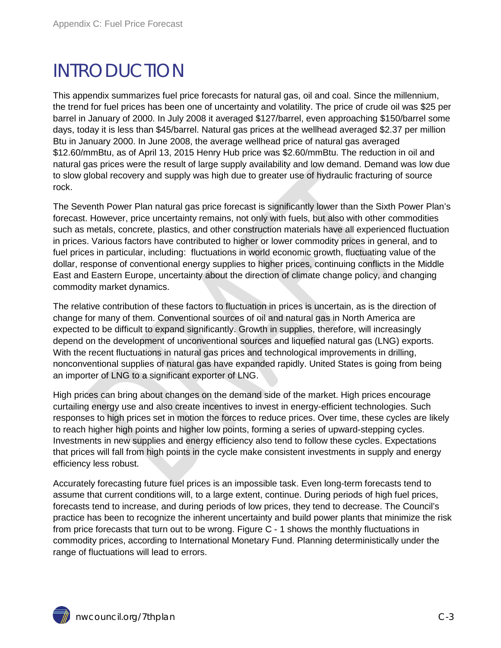## <span id="page-2-0"></span>INTRODUCTION

This appendix summarizes fuel price forecasts for natural gas, oil and coal. Since the millennium, the trend for fuel prices has been one of uncertainty and volatility. The price of crude oil was \$25 per barrel in January of 2000. In July 2008 it averaged \$127/barrel, even approaching \$150/barrel some days, today it is less than \$45/barrel. Natural gas prices at the wellhead averaged \$2.37 per million Btu in January 2000. In June 2008, the average wellhead price of natural gas averaged \$12.60/mmBtu, as of April 13, 2015 Henry Hub price was \$2.60/mmBtu. The reduction in oil and natural gas prices were the result of large supply availability and low demand. Demand was low due to slow global recovery and supply was high due to greater use of hydraulic fracturing of source rock.

The Seventh Power Plan natural gas price forecast is significantly lower than the Sixth Power Plan's forecast. However, price uncertainty remains, not only with fuels, but also with other commodities such as metals, concrete, plastics, and other construction materials have all experienced fluctuation in prices. Various factors have contributed to higher or lower commodity prices in general, and to fuel prices in particular, including: fluctuations in world economic growth, fluctuating value of the dollar, response of conventional energy supplies to higher prices, continuing conflicts in the Middle East and Eastern Europe, uncertainty about the direction of climate change policy, and changing commodity market dynamics.

The relative contribution of these factors to fluctuation in prices is uncertain, as is the direction of change for many of them. Conventional sources of oil and natural gas in North America are expected to be difficult to expand significantly. Growth in supplies, therefore, will increasingly depend on the development of unconventional sources and liquefied natural gas (LNG) exports. With the recent fluctuations in natural gas prices and technological improvements in drilling, nonconventional supplies of natural gas have expanded rapidly. United States is going from being an importer of LNG to a significant exporter of LNG.

High prices can bring about changes on the demand side of the market. High prices encourage curtailing energy use and also create incentives to invest in energy-efficient technologies. Such responses to high prices set in motion the forces to reduce prices. Over time, these cycles are likely to reach higher high points and higher low points, forming a series of upward-stepping cycles. Investments in new supplies and energy efficiency also tend to follow these cycles. Expectations that prices will fall from high points in the cycle make consistent investments in supply and energy efficiency less robust.

Accurately forecasting future fuel prices is an impossible task. Even long-term forecasts tend to assume that current conditions will, to a large extent, continue. During periods of high fuel prices, forecasts tend to increase, and during periods of low prices, they tend to decrease. The Council's practice has been to recognize the inherent uncertainty and build power plants that minimize the risk from price forecasts that turn out to be wrong. Figure C - 1 shows the monthly fluctuations in commodity prices, according to International Monetary Fund. Planning deterministically under the range of fluctuations will lead to errors.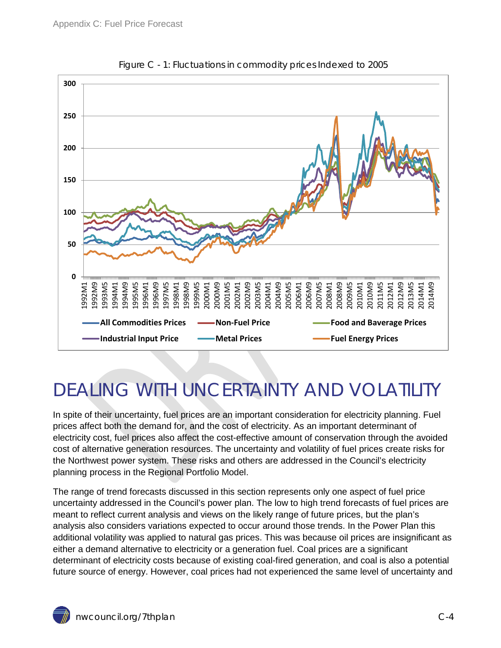<span id="page-3-1"></span>

Figure C - 1: Fluctuations in commodity prices Indexed to 2005

# <span id="page-3-0"></span>DEALING WITH UNCERTAINTY AND VOLATILITY

In spite of their uncertainty, fuel prices are an important consideration for electricity planning. Fuel prices affect both the demand for, and the cost of electricity. As an important determinant of electricity cost, fuel prices also affect the cost-effective amount of conservation through the avoided cost of alternative generation resources. The uncertainty and volatility of fuel prices create risks for the Northwest power system. These risks and others are addressed in the Council's electricity planning process in the Regional Portfolio Model.

The range of trend forecasts discussed in this section represents only one aspect of fuel price uncertainty addressed in the Council's power plan. The low to high trend forecasts of fuel prices are meant to reflect current analysis and views on the likely range of future prices, but the plan's analysis also considers variations expected to occur around those trends. In the Power Plan this additional volatility was applied to natural gas prices. This was because oil prices are insignificant as either a demand alternative to electricity or a generation fuel. Coal prices are a significant determinant of electricity costs because of existing coal-fired generation, and coal is also a potential future source of energy. However, coal prices had not experienced the same level of uncertainty and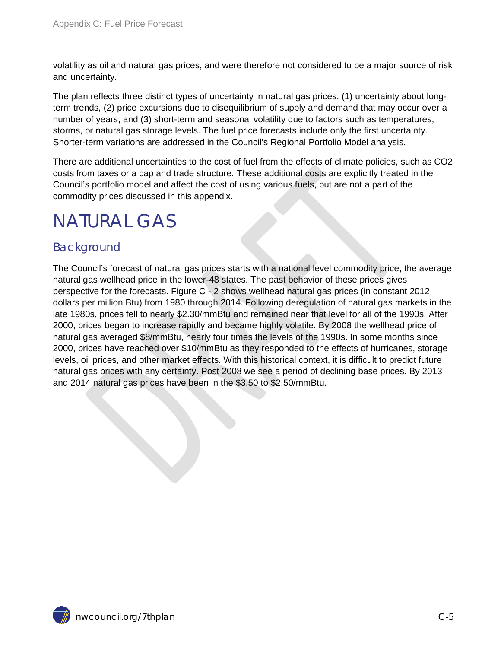volatility as oil and natural gas prices, and were therefore not considered to be a major source of risk and uncertainty.

The plan reflects three distinct types of uncertainty in natural gas prices: (1) uncertainty about longterm trends, (2) price excursions due to disequilibrium of supply and demand that may occur over a number of years, and (3) short-term and seasonal volatility due to factors such as temperatures, storms, or natural gas storage levels. The fuel price forecasts include only the first uncertainty. Shorter-term variations are addressed in the Council's Regional Portfolio Model analysis.

There are additional uncertainties to the cost of fuel from the effects of climate policies, such as CO2 costs from taxes or a cap and trade structure. These additional costs are explicitly treated in the Council's portfolio model and affect the cost of using various fuels, but are not a part of the commodity prices discussed in this appendix.

## <span id="page-4-0"></span>NATURAL GAS

#### <span id="page-4-1"></span>Background

The Council's forecast of natural gas prices starts with a national level commodity price, the average natural gas wellhead price in the lower-48 states. The past behavior of these prices gives perspective for the forecasts. Figure C - 2 shows wellhead natural gas prices (in constant 2012 dollars per million Btu) from 1980 through 2014. Following deregulation of natural gas markets in the late 1980s, prices fell to nearly \$2.30/mmBtu and remained near that level for all of the 1990s. After 2000, prices began to increase rapidly and became highly volatile. By 2008 the wellhead price of natural gas averaged \$8/mmBtu, nearly four times the levels of the 1990s. In some months since 2000, prices have reached over \$10/mmBtu as they responded to the effects of hurricanes, storage levels, oil prices, and other market effects. With this historical context, it is difficult to predict future natural gas prices with any certainty. Post 2008 we see a period of declining base prices. By 2013 and 2014 natural gas prices have been in the \$3.50 to \$2.50/mmBtu.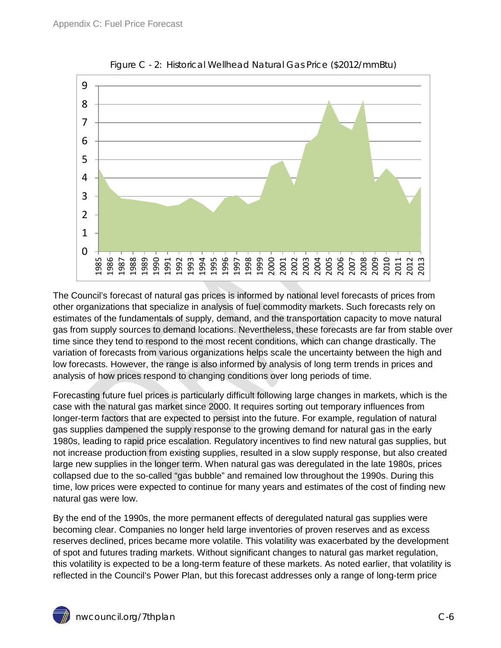<span id="page-5-0"></span>

Figure C - 2: Historical Wellhead Natural Gas Price (\$2012/mmBtu)

The Council's forecast of natural gas prices is informed by national level forecasts of prices from other organizations that specialize in analysis of fuel commodity markets. Such forecasts rely on estimates of the fundamentals of supply, demand, and the transportation capacity to move natural gas from supply sources to demand locations. Nevertheless, these forecasts are far from stable over time since they tend to respond to the most recent conditions, which can change drastically. The variation of forecasts from various organizations helps scale the uncertainty between the high and low forecasts. However, the range is also informed by analysis of long term trends in prices and analysis of how prices respond to changing conditions over long periods of time.

Forecasting future fuel prices is particularly difficult following large changes in markets, which is the case with the natural gas market since 2000. It requires sorting out temporary influences from longer-term factors that are expected to persist into the future. For example, regulation of natural gas supplies dampened the supply response to the growing demand for natural gas in the early 1980s, leading to rapid price escalation. Regulatory incentives to find new natural gas supplies, but not increase production from existing supplies, resulted in a slow supply response, but also created large new supplies in the longer term. When natural gas was deregulated in the late 1980s, prices collapsed due to the so-called "gas bubble" and remained low throughout the 1990s. During this time, low prices were expected to continue for many years and estimates of the cost of finding new natural gas were low.

By the end of the 1990s, the more permanent effects of deregulated natural gas supplies were becoming clear. Companies no longer held large inventories of proven reserves and as excess reserves declined, prices became more volatile. This volatility was exacerbated by the development of spot and futures trading markets. Without significant changes to natural gas market regulation, this volatility is expected to be a long-term feature of these markets. As noted earlier, that volatility is reflected in the Council's Power Plan, but this forecast addresses only a range of long-term price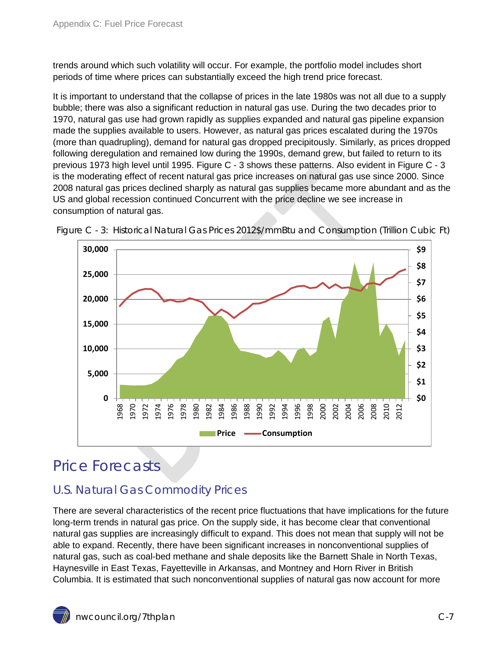trends around which such volatility will occur. For example, the portfolio model includes short periods of time where prices can substantially exceed the high trend price forecast.

It is important to understand that the collapse of prices in the late 1980s was not all due to a supply bubble; there was also a significant reduction in natural gas use. During the two decades prior to 1970, natural gas use had grown rapidly as supplies expanded and natural gas pipeline expansion made the supplies available to users. However, as natural gas prices escalated during the 1970s (more than quadrupling), demand for natural gas dropped precipitously. Similarly, as prices dropped following deregulation and remained low during the 1990s, demand grew, but failed to return to its previous 1973 high level until 1995. Figure C - 3 shows these patterns. Also evident in Figure C - 3 is the moderating effect of recent natural gas price increases on natural gas use since 2000. Since 2008 natural gas prices declined sharply as natural gas supplies became more abundant and as the US and global recession continued Concurrent with the price decline we see increase in consumption of natural gas.



<span id="page-6-2"></span>Figure C - 3: Historical Natural Gas Prices 2012\$/mmBtu and Consumption (Trillion Cubic Ft)

### <span id="page-6-0"></span>Price Forecasts

#### <span id="page-6-1"></span>U.S. Natural Gas Commodity Prices

There are several characteristics of the recent price fluctuations that have implications for the future long-term trends in natural gas price. On the supply side, it has become clear that conventional natural gas supplies are increasingly difficult to expand. This does not mean that supply will not be able to expand. Recently, there have been significant increases in nonconventional supplies of natural gas, such as coal-bed methane and shale deposits like the Barnett Shale in North Texas, Haynesville in East Texas, Fayetteville in Arkansas, and Montney and Horn River in British Columbia. It is estimated that such nonconventional supplies of natural gas now account for more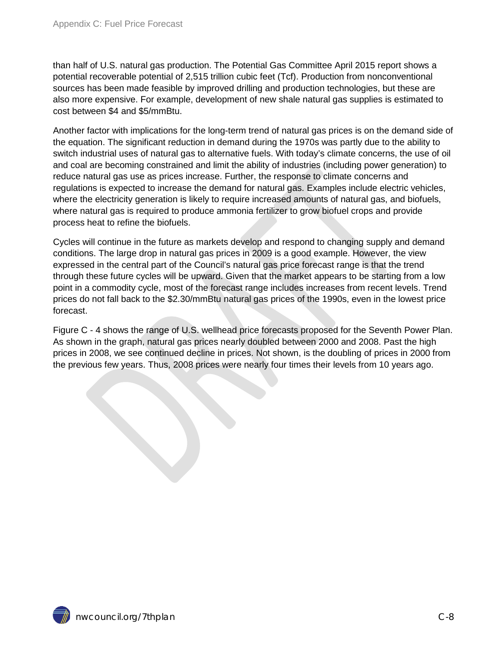than half of U.S. natural gas production. The Potential Gas Committee April 2015 report shows a potential recoverable potential of 2,515 trillion cubic feet (Tcf). Production from nonconventional sources has been made feasible by improved drilling and production technologies, but these are also more expensive. For example, development of new shale natural gas supplies is estimated to cost between \$4 and \$5/mmBtu.

Another factor with implications for the long-term trend of natural gas prices is on the demand side of the equation. The significant reduction in demand during the 1970s was partly due to the ability to switch industrial uses of natural gas to alternative fuels. With today's climate concerns, the use of oil and coal are becoming constrained and limit the ability of industries (including power generation) to reduce natural gas use as prices increase. Further, the response to climate concerns and regulations is expected to increase the demand for natural gas. Examples include electric vehicles, where the electricity generation is likely to require increased amounts of natural gas, and biofuels, where natural gas is required to produce ammonia fertilizer to grow biofuel crops and provide process heat to refine the biofuels.

Cycles will continue in the future as markets develop and respond to changing supply and demand conditions. The large drop in natural gas prices in 2009 is a good example. However, the view expressed in the central part of the Council's natural gas price forecast range is that the trend through these future cycles will be upward. Given that the market appears to be starting from a low point in a commodity cycle, most of the forecast range includes increases from recent levels. Trend prices do not fall back to the \$2.30/mmBtu natural gas prices of the 1990s, even in the lowest price forecast.

Figure C - 4 shows the range of U.S. wellhead price forecasts proposed for the Seventh Power Plan. As shown in the graph, natural gas prices nearly doubled between 2000 and 2008. Past the high prices in 2008, we see continued decline in prices. Not shown, is the doubling of prices in 2000 from the previous few years. Thus, 2008 prices were nearly four times their levels from 10 years ago.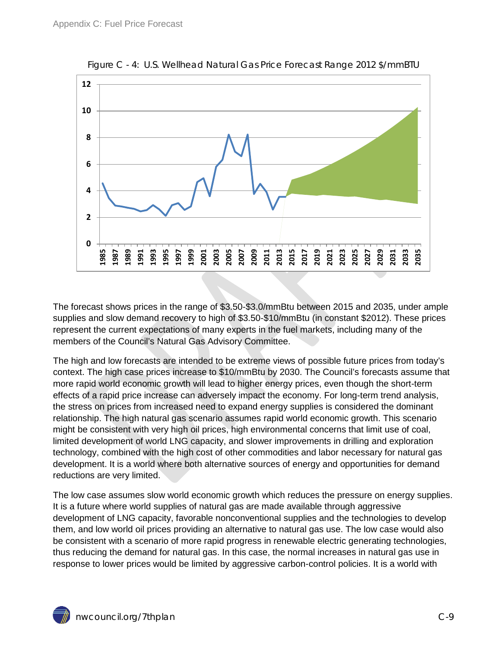<span id="page-8-0"></span>

Figure C - 4: U.S. Wellhead Natural Gas Price Forecast Range 2012 \$/mmBTU

The forecast shows prices in the range of \$3.50-\$3.0/mmBtu between 2015 and 2035, under ample supplies and slow demand recovery to high of \$3.50-\$10/mmBtu (in constant \$2012). These prices represent the current expectations of many experts in the fuel markets, including many of the members of the Council's Natural Gas Advisory Committee.

The high and low forecasts are intended to be extreme views of possible future prices from today's context. The high case prices increase to \$10/mmBtu by 2030. The Council's forecasts assume that more rapid world economic growth will lead to higher energy prices, even though the short-term effects of a rapid price increase can adversely impact the economy. For long-term trend analysis, the stress on prices from increased need to expand energy supplies is considered the dominant relationship. The high natural gas scenario assumes rapid world economic growth. This scenario might be consistent with very high oil prices, high environmental concerns that limit use of coal, limited development of world LNG capacity, and slower improvements in drilling and exploration technology, combined with the high cost of other commodities and labor necessary for natural gas development. It is a world where both alternative sources of energy and opportunities for demand reductions are very limited.

The low case assumes slow world economic growth which reduces the pressure on energy supplies. It is a future where world supplies of natural gas are made available through aggressive development of LNG capacity, favorable nonconventional supplies and the technologies to develop them, and low world oil prices providing an alternative to natural gas use. The low case would also be consistent with a scenario of more rapid progress in renewable electric generating technologies, thus reducing the demand for natural gas. In this case, the normal increases in natural gas use in response to lower prices would be limited by aggressive carbon-control policies. It is a world with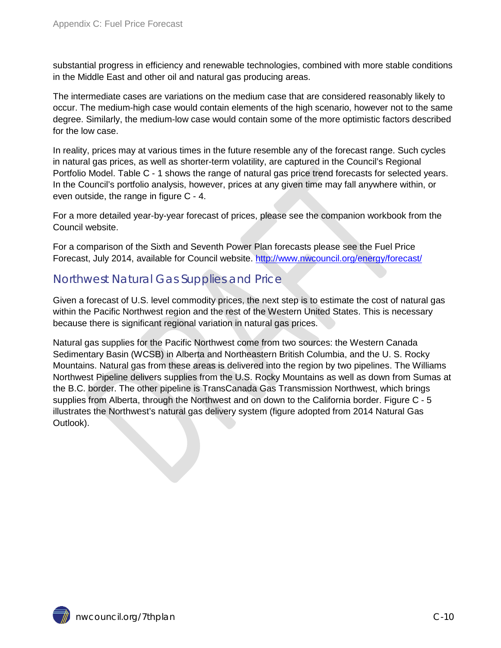substantial progress in efficiency and renewable technologies, combined with more stable conditions in the Middle East and other oil and natural gas producing areas.

The intermediate cases are variations on the medium case that are considered reasonably likely to occur. The medium-high case would contain elements of the high scenario, however not to the same degree. Similarly, the medium-low case would contain some of the more optimistic factors described for the low case.

In reality, prices may at various times in the future resemble any of the forecast range. Such cycles in natural gas prices, as well as shorter-term volatility, are captured in the Council's Regional Portfolio Model. Table C - 1 shows the range of natural gas price trend forecasts for selected years. In the Council's portfolio analysis, however, prices at any given time may fall anywhere within, or even outside, the range in figure C - 4.

For a more detailed year-by-year forecast of prices, please see the companion workbook from the Council website.

For a comparison of the Sixth and Seventh Power Plan forecasts please see the Fuel Price Forecast, July 2014, available for Council website.<http://www.nwcouncil.org/energy/forecast/>

#### <span id="page-9-0"></span>Northwest Natural Gas Supplies and Price

Given a forecast of U.S. level commodity prices, the next step is to estimate the cost of natural gas within the Pacific Northwest region and the rest of the Western United States. This is necessary because there is significant regional variation in natural gas prices.

Natural gas supplies for the Pacific Northwest come from two sources: the Western Canada Sedimentary Basin (WCSB) in Alberta and Northeastern British Columbia, and the U. S. Rocky Mountains. Natural gas from these areas is delivered into the region by two pipelines. The Williams Northwest Pipeline delivers supplies from the U.S. Rocky Mountains as well as down from Sumas at the B.C. border. The other pipeline is TransCanada Gas Transmission Northwest, which brings supplies from Alberta, through the Northwest and on down to the California border. Figure C - 5 illustrates the Northwest's natural gas delivery system (figure adopted from 2014 Natural Gas Outlook).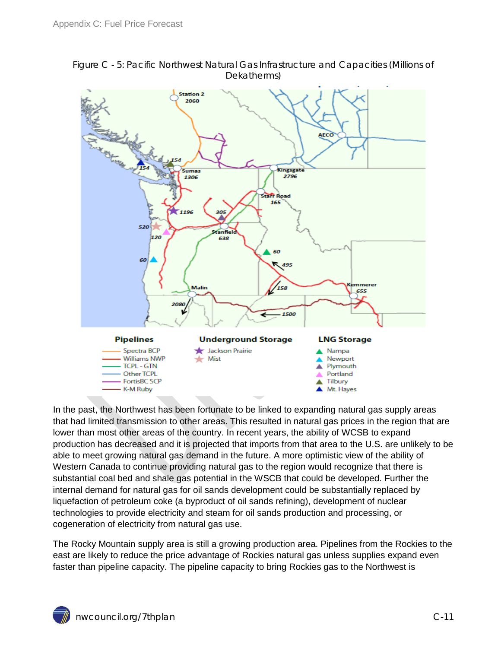

<span id="page-10-0"></span>Figure C - 5: Pacific Northwest Natural Gas Infrastructure and Capacities (Millions of Dekatherms)

In the past, the Northwest has been fortunate to be linked to expanding natural gas supply areas that had limited transmission to other areas. This resulted in natural gas prices in the region that are lower than most other areas of the country. In recent years, the ability of WCSB to expand production has decreased and it is projected that imports from that area to the U.S. are unlikely to be able to meet growing natural gas demand in the future. A more optimistic view of the ability of Western Canada to continue providing natural gas to the region would recognize that there is substantial coal bed and shale gas potential in the WSCB that could be developed. Further the internal demand for natural gas for oil sands development could be substantially replaced by liquefaction of petroleum coke (a byproduct of oil sands refining), development of nuclear technologies to provide electricity and steam for oil sands production and processing, or cogeneration of electricity from natural gas use.

The Rocky Mountain supply area is still a growing production area. Pipelines from the Rockies to the east are likely to reduce the price advantage of Rockies natural gas unless supplies expand even faster than pipeline capacity. The pipeline capacity to bring Rockies gas to the Northwest is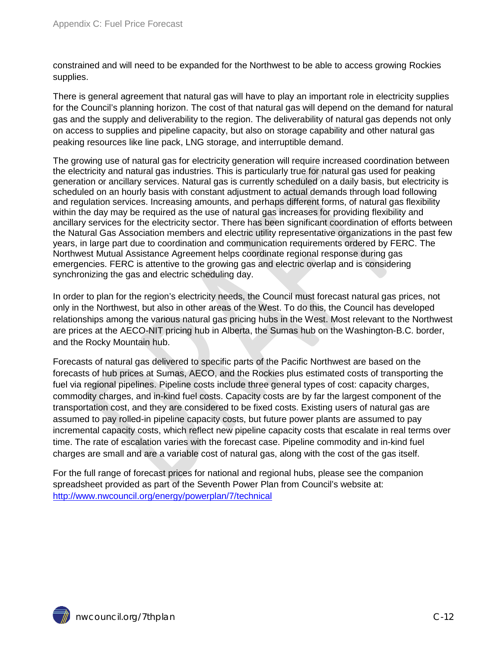constrained and will need to be expanded for the Northwest to be able to access growing Rockies supplies.

There is general agreement that natural gas will have to play an important role in electricity supplies for the Council's planning horizon. The cost of that natural gas will depend on the demand for natural gas and the supply and deliverability to the region. The deliverability of natural gas depends not only on access to supplies and pipeline capacity, but also on storage capability and other natural gas peaking resources like line pack, LNG storage, and interruptible demand.

The growing use of natural gas for electricity generation will require increased coordination between the electricity and natural gas industries. This is particularly true for natural gas used for peaking generation or ancillary services. Natural gas is currently scheduled on a daily basis, but electricity is scheduled on an hourly basis with constant adjustment to actual demands through load following and regulation services. Increasing amounts, and perhaps different forms, of natural gas flexibility within the day may be required as the use of natural gas increases for providing flexibility and ancillary services for the electricity sector. There has been significant coordination of efforts between the Natural Gas Association members and electric utility representative organizations in the past few years, in large part due to coordination and communication requirements ordered by FERC. The Northwest Mutual Assistance Agreement helps coordinate regional response during gas emergencies. FERC is attentive to the growing gas and electric overlap and is considering synchronizing the gas and electric scheduling day.

In order to plan for the region's electricity needs, the Council must forecast natural gas prices, not only in the Northwest, but also in other areas of the West. To do this, the Council has developed relationships among the various natural gas pricing hubs in the West. Most relevant to the Northwest are prices at the AECO-NIT pricing hub in Alberta, the Sumas hub on the Washington-B.C. border, and the Rocky Mountain hub.

Forecasts of natural gas delivered to specific parts of the Pacific Northwest are based on the forecasts of hub prices at Sumas, AECO, and the Rockies plus estimated costs of transporting the fuel via regional pipelines. Pipeline costs include three general types of cost: capacity charges, commodity charges, and in-kind fuel costs. Capacity costs are by far the largest component of the transportation cost, and they are considered to be fixed costs. Existing users of natural gas are assumed to pay rolled-in pipeline capacity costs, but future power plants are assumed to pay incremental capacity costs, which reflect new pipeline capacity costs that escalate in real terms over time. The rate of escalation varies with the forecast case. Pipeline commodity and in-kind fuel charges are small and are a variable cost of natural gas, along with the cost of the gas itself.

For the full range of forecast prices for national and regional hubs, please see the companion spreadsheet provided as part of the Seventh Power Plan from Council's website at: <http://www.nwcouncil.org/energy/powerplan/7/technical>

 $\hat{w}$  nwcouncil.org/7thplan  $C-12$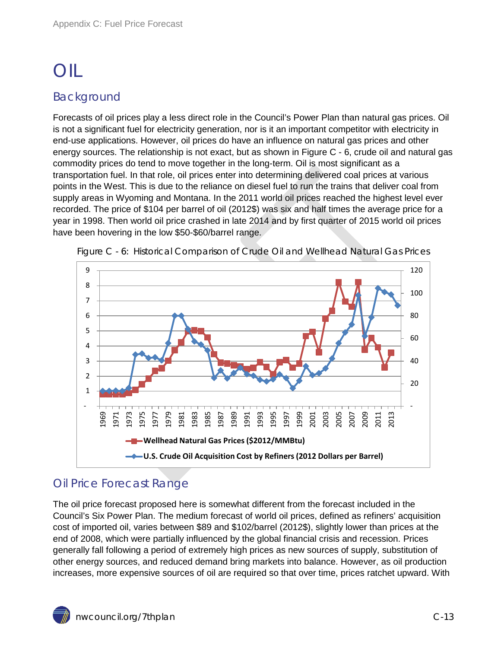# <span id="page-12-0"></span>OIL

#### <span id="page-12-1"></span>Background

Forecasts of oil prices play a less direct role in the Council's Power Plan than natural gas prices. Oil is not a significant fuel for electricity generation, nor is it an important competitor with electricity in end-use applications. However, oil prices do have an influence on natural gas prices and other energy sources. The relationship is not exact, but as shown in Figure C - 6, crude oil and natural gas commodity prices do tend to move together in the long-term. Oil is most significant as a transportation fuel. In that role, oil prices enter into determining delivered coal prices at various points in the West. This is due to the reliance on diesel fuel to run the trains that deliver coal from supply areas in Wyoming and Montana. In the 2011 world oil prices reached the highest level ever recorded. The price of \$104 per barrel of oil (2012\$) was six and half times the average price for a year in 1998. Then world oil price crashed in late 2014 and by first quarter of 2015 world oil prices have been hovering in the low \$50-\$60/barrel range.



<span id="page-12-3"></span>

#### <span id="page-12-2"></span>Oil Price Forecast Range

The oil price forecast proposed here is somewhat different from the forecast included in the Council's Six Power Plan. The medium forecast of world oil prices, defined as refiners' acquisition cost of imported oil, varies between \$89 and \$102/barrel (2012\$), slightly lower than prices at the end of 2008, which were partially influenced by the global financial crisis and recession. Prices generally fall following a period of extremely high prices as new sources of supply, substitution of other energy sources, and reduced demand bring markets into balance. However, as oil production increases, more expensive sources of oil are required so that over time, prices ratchet upward. With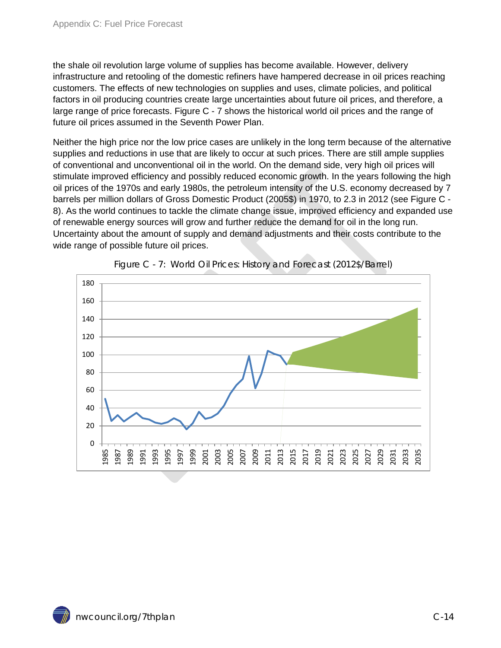the shale oil revolution large volume of supplies has become available. However, delivery infrastructure and retooling of the domestic refiners have hampered decrease in oil prices reaching customers. The effects of new technologies on supplies and uses, climate policies, and political factors in oil producing countries create large uncertainties about future oil prices, and therefore, a large range of price forecasts. Figure C - 7 shows the historical world oil prices and the range of future oil prices assumed in the Seventh Power Plan.

Neither the high price nor the low price cases are unlikely in the long term because of the alternative supplies and reductions in use that are likely to occur at such prices. There are still ample supplies of conventional and unconventional oil in the world. On the demand side, very high oil prices will stimulate improved efficiency and possibly reduced economic growth. In the years following the high oil prices of the 1970s and early 1980s, the petroleum intensity of the U.S. economy decreased by 7 barrels per million dollars of Gross Domestic Product (2005\$) in 1970, to 2.3 in 2012 (see Figure C - 8). As the world continues to tackle the climate change issue, improved efficiency and expanded use of renewable energy sources will grow and further reduce the demand for oil in the long run. Uncertainty about the amount of supply and demand adjustments and their costs contribute to the wide range of possible future oil prices.

<span id="page-13-0"></span>

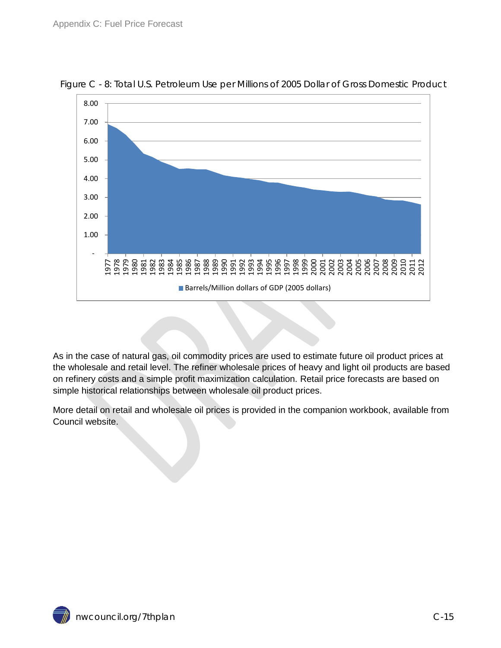

<span id="page-14-0"></span>

As in the case of natural gas, oil commodity prices are used to estimate future oil product prices at the wholesale and retail level. The refiner wholesale prices of heavy and light oil products are based on refinery costs and a simple profit maximization calculation. Retail price forecasts are based on simple historical relationships between wholesale oil product prices.

More detail on retail and wholesale oil prices is provided in the companion workbook, available from Council website.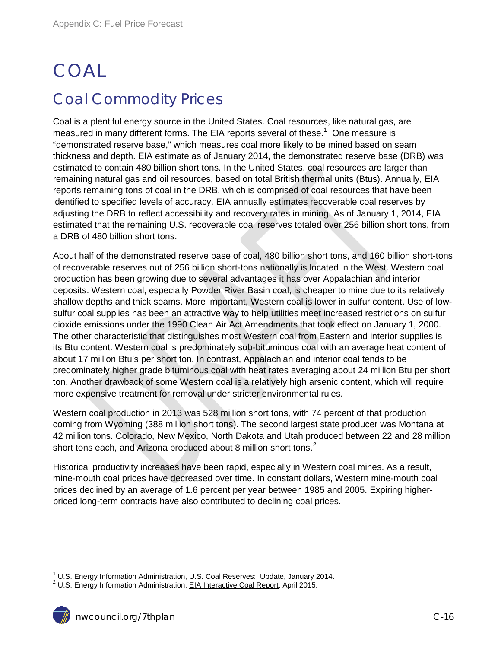# <span id="page-15-1"></span><span id="page-15-0"></span>COAL Coal Commodity Prices

Coal is a plentiful energy source in the United States. Coal resources, like natural gas, are measured in many different forms. The EIA reports several of these.<sup>[1](#page-0-0)</sup> One measure is "demonstrated reserve base," which measures coal more likely to be mined based on seam thickness and depth. EIA estimate as of January 2014**,** the demonstrated reserve base (DRB) was estimated to contain 480 billion short tons. In the United States, coal resources are larger than remaining natural gas and oil resources, based on total British thermal units (Btus). Annually, EIA reports remaining tons of coal in the DRB, which is comprised of coal resources that have been identified to specified levels of accuracy. EIA annually estimates recoverable coal reserves by adjusting the DRB to reflect accessibility and recovery rates in mining. As of January 1, 2014, EIA estimated that the remaining U.S. recoverable coal reserves totaled over 256 billion short tons, from a DRB of 480 billion short tons.

About half of the demonstrated reserve base of coal, 480 billion short tons, and 160 billion short-tons of recoverable reserves out of 256 billion short-tons nationally is located in the West. Western coal production has been growing due to several advantages it has over Appalachian and interior deposits. Western coal, especially Powder River Basin coal, is cheaper to mine due to its relatively shallow depths and thick seams. More important, Western coal is lower in sulfur content. Use of lowsulfur coal supplies has been an attractive way to help utilities meet increased restrictions on sulfur dioxide emissions under the 1990 Clean Air Act Amendments that took effect on January 1, 2000. The other characteristic that distinguishes most Western coal from Eastern and interior supplies is its Btu content. Western coal is predominately sub-bituminous coal with an average heat content of about 17 million Btu's per short ton. In contrast, Appalachian and interior coal tends to be predominately higher grade bituminous coal with heat rates averaging about 24 million Btu per short ton. Another drawback of some Western coal is a relatively high arsenic content, which will require more expensive treatment for removal under stricter environmental rules.

Western coal production in 2013 was 528 million short tons, with 74 percent of that production coming from Wyoming (388 million short tons). The second largest state producer was Montana at 42 million tons. Colorado, New Mexico, North Dakota and Utah produced between 22 and 28 million short tons each, and Arizona produced about 8 million short tons.<sup>[2](#page-15-2)</sup>

Historical productivity increases have been rapid, especially in Western coal mines. As a result, mine-mouth coal prices have decreased over time. In constant dollars, Western mine-mouth coal prices declined by an average of 1.6 percent per year between 1985 and 2005. Expiring higherpriced long-term contracts have also contributed to declining coal prices.

 $\overline{a}$ 

<sup>&</sup>lt;sup>1</sup> U.S. Energy Information Administration, <u>U.S. Coal Reserves: Update</u>, January 2014.<br><sup>2</sup> U.S. Energy Information Administration, EIA Interactive Coal Report, April 2015.

<span id="page-15-2"></span>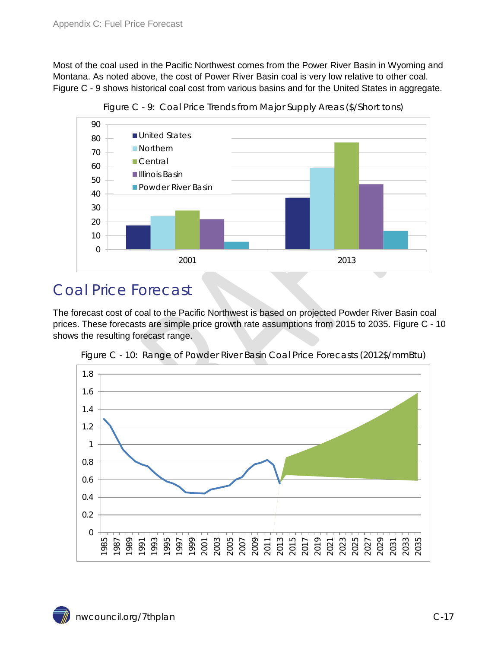Most of the coal used in the Pacific Northwest comes from the Power River Basin in Wyoming and Montana. As noted above, the cost of Power River Basin coal is very low relative to other coal. Figure C - 9 shows historical coal cost from various basins and for the United States in aggregate.

<span id="page-16-1"></span>

Figure C - 9: Coal Price Trends from Major Supply Areas (\$/Short tons)

### <span id="page-16-0"></span>Coal Price Forecast

The forecast cost of coal to the Pacific Northwest is based on projected Powder River Basin coal prices. These forecasts are simple price growth rate assumptions from 2015 to 2035. Figure C - 10 shows the resulting forecast range.

<span id="page-16-2"></span>

Figure C - 10: Range of Powder River Basin Coal Price Forecasts (2012\$/mmBtu)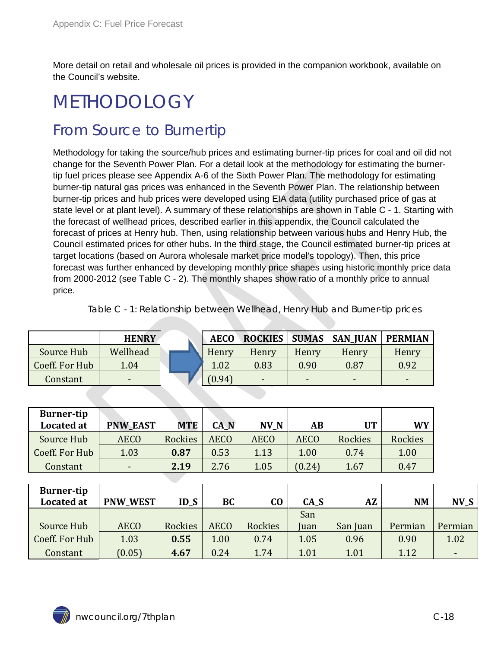More detail on retail and wholesale oil prices is provided in the companion workbook, available on the Council's website.

## <span id="page-17-0"></span>METHODOLOGY

### <span id="page-17-1"></span>From Source to Burnertip

Methodology for taking the source/hub prices and estimating burner-tip prices for coal and oil did not change for the Seventh Power Plan. For a detail look at the methodology for estimating the burnertip fuel prices please see Appendix A-6 of the Sixth Power Plan. The methodology for estimating burner-tip natural gas prices was enhanced in the Seventh Power Plan. The relationship between burner-tip prices and hub prices were developed using EIA data (utility purchased price of gas at state level or at plant level). A summary of these relationships are shown in Table C - 1. Starting with the forecast of wellhead prices, described earlier in this appendix, the Council calculated the forecast of prices at Henry hub. Then, using relationship between various hubs and Henry Hub, the Council estimated prices for other hubs. In the third stage, the Council estimated burner-tip prices at target locations (based on Aurora wholesale market price model's topology). Then, this price forecast was further enhanced by developing monthly price shapes using historic monthly price data from 2000-2012 (see Table C - 2). The monthly shapes show ratio of a monthly price to annual price.

<span id="page-17-2"></span>Table C - 1: Relationship between Wellhead, Henry Hub and Burner-tip prices

|                | <b>HENRY</b> | <b>AECO</b> | <b>ROCKIES</b>           |       | <b>SUMAS   SAN_JUAN</b> | <b>PERMIAN</b> |
|----------------|--------------|-------------|--------------------------|-------|-------------------------|----------------|
| Source Hub     | Wellhead     | Henry       | Henry                    | Henry | Henry                   | Henry          |
| Coeff. For Hub | 1.04         | 1.02        | 0.83                     | 0.90  | 0.87                    | 0.92           |
| Constant       | -            | (0.94)      | $\overline{\phantom{0}}$ | -     | -                       |                |

| <b>Burner-tip</b><br><b>Located at</b> | <b>PNW_EAST</b> | <b>MTE</b> | CA_N        | NV_N        | AВ          | <b>UT</b> | <b>WY</b>      |
|----------------------------------------|-----------------|------------|-------------|-------------|-------------|-----------|----------------|
| Source Hub                             | <b>AECO</b>     | Rockies    | <b>AECO</b> | <b>AECO</b> | <b>AECO</b> | Rockies   | <b>Rockies</b> |
| Coeff. For Hub                         | 1.03            | 0.87       | 0.53        | 1.13        | 1.00        | 0.74      | 1.00           |
| Constant                               | $\,$            | 2.19       | 2.76        | 1.05        | (0.24)      | 1.67      | 0.47           |

| <b>Burner-tip</b><br><b>Located at</b> | <b>PNW_WEST</b> | $ID_S$  | BC          | $\bf CO$ | CA_S | <b>AZ</b> | <b>NM</b> | N <sub>V</sub> S |
|----------------------------------------|-----------------|---------|-------------|----------|------|-----------|-----------|------------------|
|                                        |                 |         |             |          | San  |           |           |                  |
| Source Hub                             | <b>AECO</b>     | Rockies | <b>AECO</b> | Rockies  | Juan | San Juan  | Permian   | Permian          |
| Coeff. For Hub                         | 1.03            | 0.55    | 1.00        | 0.74     | 1.05 | 0.96      | 0.90      | 1.02             |
| Constant                               | (0.05)          | 4.67    | 0.24        | 1.74     | 1.01 | 1.01      | 1.12      |                  |

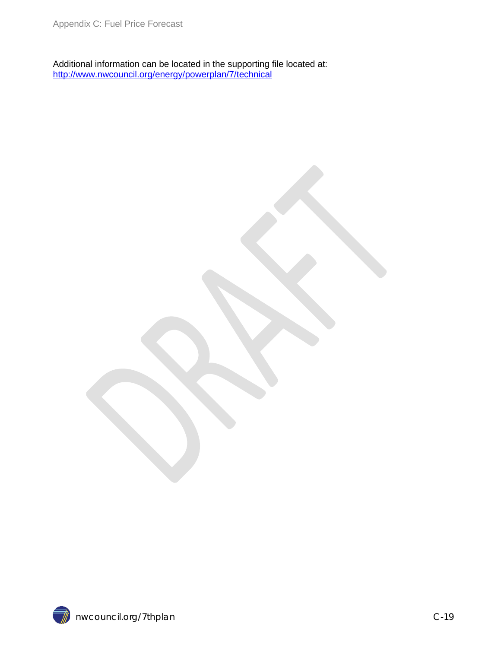Additional information can be located in the supporting file located at: <http://www.nwcouncil.org/energy/powerplan/7/technical>

 $\vec{a}$  nwcouncil.org/7thplan compared at  $C-19$